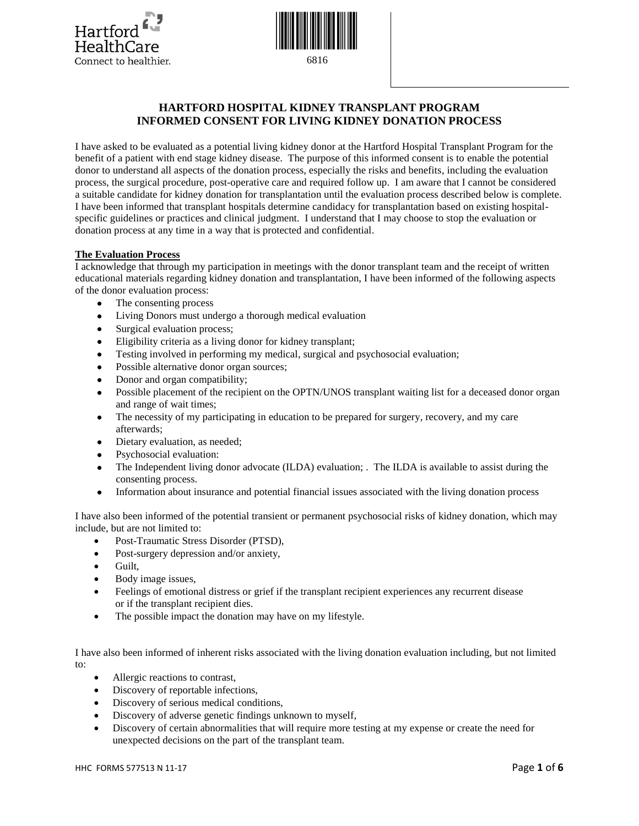



# **HARTFORD HOSPITAL KIDNEY TRANSPLANT PROGRAM INFORMED CONSENT FOR LIVING KIDNEY DONATION PROCESS**

I have asked to be evaluated as a potential living kidney donor at the Hartford Hospital Transplant Program for the benefit of a patient with end stage kidney disease. The purpose of this informed consent is to enable the potential donor to understand all aspects of the donation process, especially the risks and benefits, including the evaluation process, the surgical procedure, post-operative care and required follow up. I am aware that I cannot be considered a suitable candidate for kidney donation for transplantation until the evaluation process described below is complete. I have been informed that transplant hospitals determine candidacy for transplantation based on existing hospitalspecific guidelines or practices and clinical judgment. I understand that I may choose to stop the evaluation or donation process at any time in a way that is protected and confidential.

## **The Evaluation Process**

I acknowledge that through my participation in meetings with the donor transplant team and the receipt of written educational materials regarding kidney donation and transplantation, I have been informed of the following aspects of the donor evaluation process:

- The consenting process
- Living Donors must undergo a thorough medical evaluation
- Surgical evaluation process;
- Eligibility criteria as a living donor for kidney transplant;
- Testing involved in performing my medical, surgical and psychosocial evaluation;
- Possible alternative donor organ sources;
- Donor and organ compatibility;
- Possible placement of the recipient on the OPTN/UNOS transplant waiting list for a deceased donor organ and range of wait times;
- The necessity of my participating in education to be prepared for surgery, recovery, and my care afterwards;
- Dietary evaluation, as needed;
- Psychosocial evaluation:
- The Independent living donor advocate (ILDA) evaluation; . The ILDA is available to assist during the consenting process.
- Information about insurance and potential financial issues associated with the living donation process

I have also been informed of the potential transient or permanent psychosocial risks of kidney donation, which may include, but are not limited to:

- Post-Traumatic Stress Disorder (PTSD),
- Post-surgery depression and/or anxiety,
- Guilt,
- Body image issues,
- Feelings of emotional distress or grief if the transplant recipient experiences any recurrent disease or if the transplant recipient dies.
- The possible impact the donation may have on my lifestyle.

I have also been informed of inherent risks associated with the living donation evaluation including, but not limited to:

- Allergic reactions to contrast,
- Discovery of reportable infections,
- Discovery of serious medical conditions,
- Discovery of adverse genetic findings unknown to myself,
- Discovery of certain abnormalities that will require more testing at my expense or create the need for unexpected decisions on the part of the transplant team.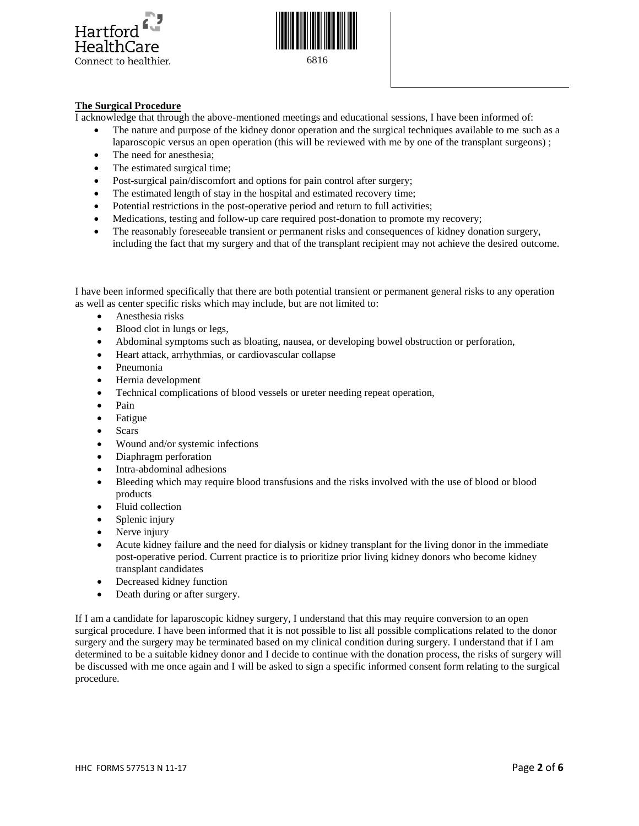



# **The Surgical Procedure**

I acknowledge that through the above-mentioned meetings and educational sessions, I have been informed of:

- The nature and purpose of the kidney donor operation and the surgical techniques available to me such as a laparoscopic versus an open operation (this will be reviewed with me by one of the transplant surgeons) ;
- The need for anesthesia;
- The estimated surgical time;
- Post-surgical pain/discomfort and options for pain control after surgery;
- The estimated length of stay in the hospital and estimated recovery time;
- Potential restrictions in the post-operative period and return to full activities;
- Medications, testing and follow-up care required post-donation to promote my recovery;
- The reasonably foreseeable transient or permanent risks and consequences of kidney donation surgery, including the fact that my surgery and that of the transplant recipient may not achieve the desired outcome.

I have been informed specifically that there are both potential transient or permanent general risks to any operation as well as center specific risks which may include, but are not limited to:

- Anesthesia risks
- Blood clot in lungs or legs,
- Abdominal symptoms such as bloating, nausea, or developing bowel obstruction or perforation,
- Heart attack, arrhythmias, or cardiovascular collapse
- Pneumonia
- Hernia development
- Technical complications of blood vessels or ureter needing repeat operation,
- Pain
- Fatigue
- Scars
- Wound and/or systemic infections
- Diaphragm perforation
- Intra-abdominal adhesions
- Bleeding which may require blood transfusions and the risks involved with the use of blood or blood products
- Fluid collection
- Splenic injury
- Nerve injury
- Acute kidney failure and the need for dialysis or kidney transplant for the living donor in the immediate post-operative period. Current practice is to prioritize prior living kidney donors who become kidney transplant candidates
- Decreased kidney function
- Death during or after surgery.

If I am a candidate for laparoscopic kidney surgery, I understand that this may require conversion to an open surgical procedure. I have been informed that it is not possible to list all possible complications related to the donor surgery and the surgery may be terminated based on my clinical condition during surgery. I understand that if I am determined to be a suitable kidney donor and I decide to continue with the donation process, the risks of surgery will be discussed with me once again and I will be asked to sign a specific informed consent form relating to the surgical procedure.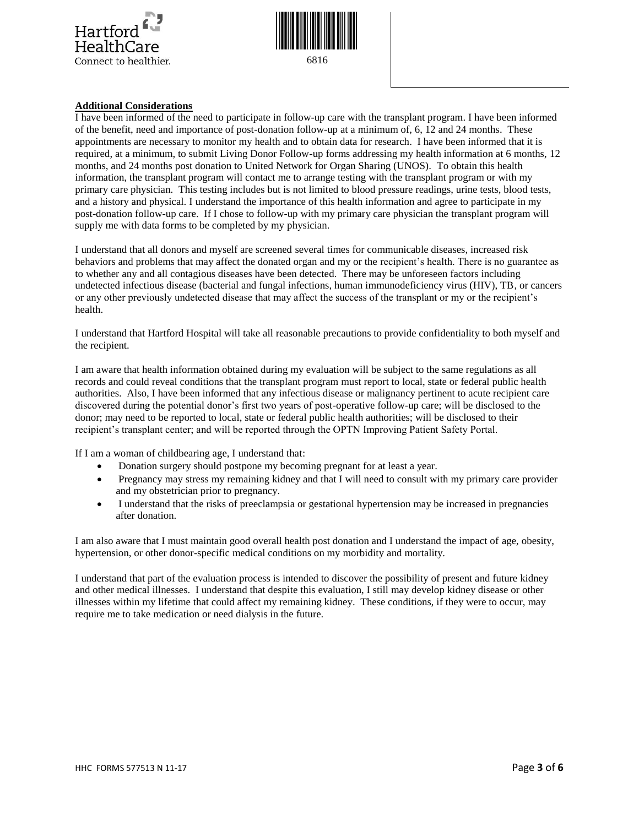



## **Additional Considerations**

I have been informed of the need to participate in follow-up care with the transplant program. I have been informed of the benefit, need and importance of post-donation follow-up at a minimum of, 6, 12 and 24 months. These appointments are necessary to monitor my health and to obtain data for research. I have been informed that it is required, at a minimum, to submit Living Donor Follow-up forms addressing my health information at 6 months, 12 months, and 24 months post donation to United Network for Organ Sharing (UNOS). To obtain this health information, the transplant program will contact me to arrange testing with the transplant program or with my primary care physician. This testing includes but is not limited to blood pressure readings, urine tests, blood tests, and a history and physical. I understand the importance of this health information and agree to participate in my post-donation follow-up care. If I chose to follow-up with my primary care physician the transplant program will supply me with data forms to be completed by my physician.

I understand that all donors and myself are screened several times for communicable diseases, increased risk behaviors and problems that may affect the donated organ and my or the recipient's health. There is no guarantee as to whether any and all contagious diseases have been detected. There may be unforeseen factors including undetected infectious disease (bacterial and fungal infections, human immunodeficiency virus (HIV), TB, or cancers or any other previously undetected disease that may affect the success of the transplant or my or the recipient's health.

I understand that Hartford Hospital will take all reasonable precautions to provide confidentiality to both myself and the recipient.

I am aware that health information obtained during my evaluation will be subject to the same regulations as all records and could reveal conditions that the transplant program must report to local, state or federal public health authorities. Also, I have been informed that any infectious disease or malignancy pertinent to acute recipient care discovered during the potential donor's first two years of post-operative follow-up care; will be disclosed to the donor; may need to be reported to local, state or federal public health authorities; will be disclosed to their recipient's transplant center; and will be reported through the OPTN Improving Patient Safety Portal.

If I am a woman of childbearing age, I understand that:

- Donation surgery should postpone my becoming pregnant for at least a year.
- Pregnancy may stress my remaining kidney and that I will need to consult with my primary care provider and my obstetrician prior to pregnancy.
- I understand that the risks of preeclampsia or gestational hypertension may be increased in pregnancies after donation.

I am also aware that I must maintain good overall health post donation and I understand the impact of age, obesity, hypertension, or other donor-specific medical conditions on my morbidity and mortality.

I understand that part of the evaluation process is intended to discover the possibility of present and future kidney and other medical illnesses. I understand that despite this evaluation, I still may develop kidney disease or other illnesses within my lifetime that could affect my remaining kidney. These conditions, if they were to occur, may require me to take medication or need dialysis in the future.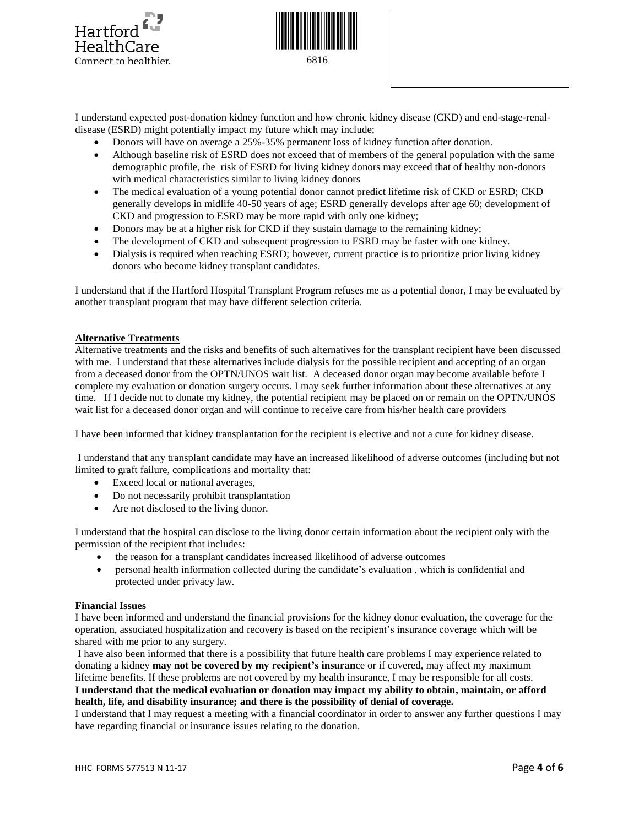



I understand expected post-donation kidney function and how chronic kidney disease (CKD) and end-stage-renaldisease (ESRD) might potentially impact my future which may include;

- Donors will have on average a 25%-35% permanent loss of kidney function after donation.
- Although baseline risk of ESRD does not exceed that of members of the general population with the same demographic profile, the risk of ESRD for living kidney donors may exceed that of healthy non-donors with medical characteristics similar to living kidney donors
- The medical evaluation of a young potential donor cannot predict lifetime risk of CKD or ESRD; CKD generally develops in midlife 40-50 years of age; ESRD generally develops after age 60; development of CKD and progression to ESRD may be more rapid with only one kidney;
- Donors may be at a higher risk for CKD if they sustain damage to the remaining kidney;
- The development of CKD and subsequent progression to ESRD may be faster with one kidney.
- Dialysis is required when reaching ESRD; however, current practice is to prioritize prior living kidney donors who become kidney transplant candidates.

I understand that if the Hartford Hospital Transplant Program refuses me as a potential donor, I may be evaluated by another transplant program that may have different selection criteria.

#### **Alternative Treatments**

Alternative treatments and the risks and benefits of such alternatives for the transplant recipient have been discussed with me. I understand that these alternatives include dialysis for the possible recipient and accepting of an organ from a deceased donor from the OPTN/UNOS wait list. A deceased donor organ may become available before I complete my evaluation or donation surgery occurs. I may seek further information about these alternatives at any time. If I decide not to donate my kidney, the potential recipient may be placed on or remain on the OPTN/UNOS wait list for a deceased donor organ and will continue to receive care from his/her health care providers

I have been informed that kidney transplantation for the recipient is elective and not a cure for kidney disease.

I understand that any transplant candidate may have an increased likelihood of adverse outcomes (including but not limited to graft failure, complications and mortality that:

- Exceed local or national averages,
- Do not necessarily prohibit transplantation
- Are not disclosed to the living donor.

I understand that the hospital can disclose to the living donor certain information about the recipient only with the permission of the recipient that includes:

- the reason for a transplant candidates increased likelihood of adverse outcomes
- personal health information collected during the candidate's evaluation , which is confidential and protected under privacy law.

#### **Financial Issues**

I have been informed and understand the financial provisions for the kidney donor evaluation, the coverage for the operation, associated hospitalization and recovery is based on the recipient's insurance coverage which will be shared with me prior to any surgery.

I have also been informed that there is a possibility that future health care problems I may experience related to donating a kidney **may not be covered by my recipient's insuran**ce or if covered, may affect my maximum lifetime benefits. If these problems are not covered by my health insurance, I may be responsible for all costs. **I understand that the medical evaluation or donation may impact my ability to obtain, maintain, or afford health, life, and disability insurance; and there is the possibility of denial of coverage.**

I understand that I may request a meeting with a financial coordinator in order to answer any further questions I may have regarding financial or insurance issues relating to the donation.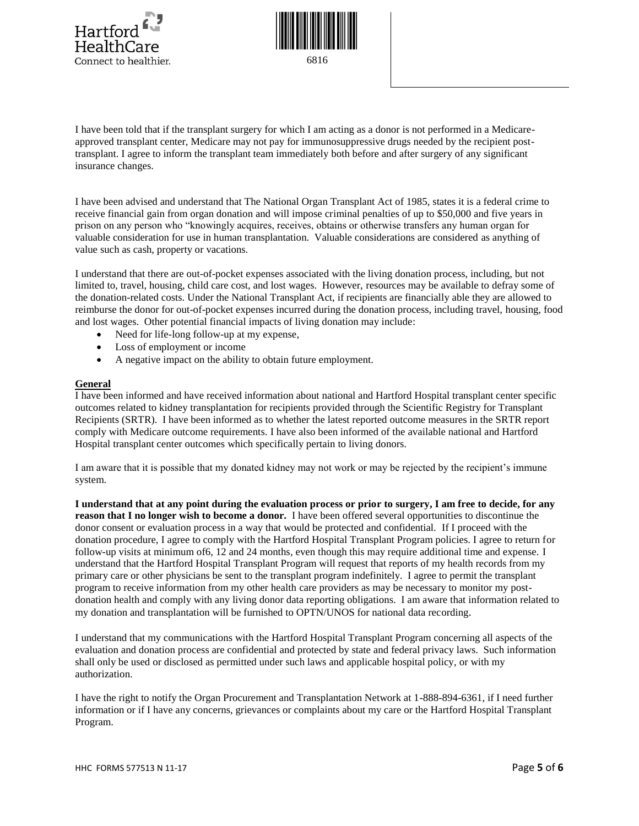

Connect to healthier.

6816

I have been told that if the transplant surgery for which I am acting as a donor is not performed in a Medicareapproved transplant center, Medicare may not pay for immunosuppressive drugs needed by the recipient posttransplant. I agree to inform the transplant team immediately both before and after surgery of any significant insurance changes.

I have been advised and understand that The National Organ Transplant Act of 1985, states it is a federal crime to receive financial gain from organ donation and will impose criminal penalties of up to \$50,000 and five years in prison on any person who "knowingly acquires, receives, obtains or otherwise transfers any human organ for valuable consideration for use in human transplantation. Valuable considerations are considered as anything of value such as cash, property or vacations.

I understand that there are out-of-pocket expenses associated with the living donation process, including, but not limited to, travel, housing, child care cost, and lost wages. However, resources may be available to defray some of the donation-related costs. Under the National Transplant Act, if recipients are financially able they are allowed to reimburse the donor for out-of-pocket expenses incurred during the donation process, including travel, housing, food and lost wages. Other potential financial impacts of living donation may include:

- Need for life-long follow-up at my expense,
- Loss of employment or income
- A negative impact on the ability to obtain future employment.

# **General**

I have been informed and have received information about national and Hartford Hospital transplant center specific outcomes related to kidney transplantation for recipients provided through the Scientific Registry for Transplant Recipients (SRTR). I have been informed as to whether the latest reported outcome measures in the SRTR report comply with Medicare outcome requirements. I have also been informed of the available national and Hartford Hospital transplant center outcomes which specifically pertain to living donors.

I am aware that it is possible that my donated kidney may not work or may be rejected by the recipient's immune system.

**I understand that at any point during the evaluation process or prior to surgery, I am free to decide, for any reason that I no longer wish to become a donor.** I have been offered several opportunities to discontinue the donor consent or evaluation process in a way that would be protected and confidential. If I proceed with the donation procedure, I agree to comply with the Hartford Hospital Transplant Program policies. I agree to return for follow-up visits at minimum of6, 12 and 24 months, even though this may require additional time and expense. I understand that the Hartford Hospital Transplant Program will request that reports of my health records from my primary care or other physicians be sent to the transplant program indefinitely. I agree to permit the transplant program to receive information from my other health care providers as may be necessary to monitor my postdonation health and comply with any living donor data reporting obligations. I am aware that information related to my donation and transplantation will be furnished to OPTN/UNOS for national data recording.

I understand that my communications with the Hartford Hospital Transplant Program concerning all aspects of the evaluation and donation process are confidential and protected by state and federal privacy laws. Such information shall only be used or disclosed as permitted under such laws and applicable hospital policy, or with my authorization.

I have the right to notify the Organ Procurement and Transplantation Network at 1-888-894-6361, if I need further information or if I have any concerns, grievances or complaints about my care or the Hartford Hospital Transplant Program.